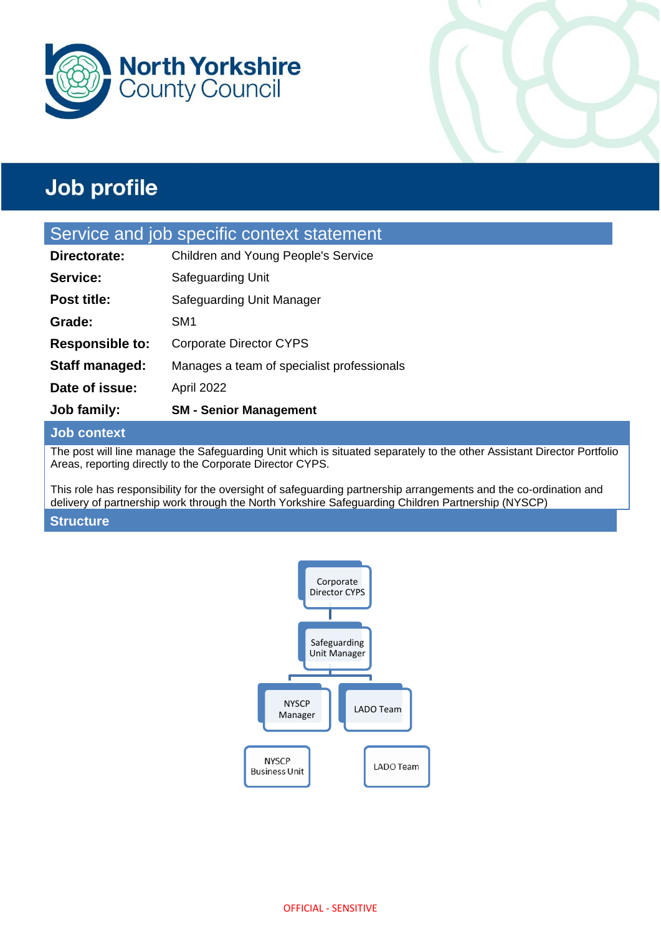



### Service and job specific context statement

| <b>Job family:</b>     | <b>SM - Senior Management</b>              |
|------------------------|--------------------------------------------|
| Date of issue:         | April 2022                                 |
| Staff managed:         | Manages a team of specialist professionals |
| <b>Responsible to:</b> | <b>Corporate Director CYPS</b>             |
| Grade:                 | SM <sub>1</sub>                            |
| <b>Post title:</b>     | Safeguarding Unit Manager                  |
| Service:               | Safeguarding Unit                          |
| Directorate:           | Children and Young People's Service        |

#### **Job context**

The post will line manage the Safeguarding Unit which is situated separately to the other Assistant Director Portfolio Areas, reporting directly to the Corporate Director CYPS.

This role has responsibility for the oversight of safeguarding partnership arrangements and the co-ordination and delivery of partnership work through the North Yorkshire Safeguarding Children Partnership (NYSCP)

#### **Structure**

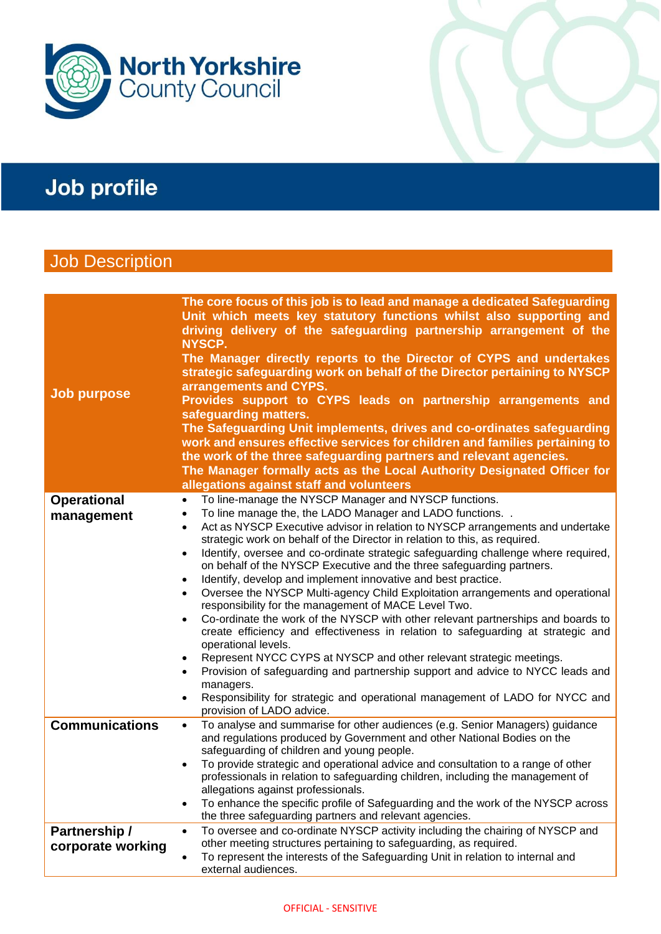



## **Job Description**

| <b>Job purpose</b>                 | The core focus of this job is to lead and manage a dedicated Safeguarding<br>Unit which meets key statutory functions whilst also supporting and<br>driving delivery of the safeguarding partnership arrangement of the<br>NYSCP.<br>The Manager directly reports to the Director of CYPS and undertakes<br>strategic safeguarding work on behalf of the Director pertaining to NYSCP<br>arrangements and CYPS.<br>Provides support to CYPS leads on partnership arrangements and<br>safeguarding matters.<br>The Safeguarding Unit implements, drives and co-ordinates safeguarding<br>work and ensures effective services for children and families pertaining to<br>the work of the three safeguarding partners and relevant agencies.<br>The Manager formally acts as the Local Authority Designated Officer for<br>allegations against staff and volunteers                                                                                                                                                                                                                                                                                                                                                                                          |
|------------------------------------|-----------------------------------------------------------------------------------------------------------------------------------------------------------------------------------------------------------------------------------------------------------------------------------------------------------------------------------------------------------------------------------------------------------------------------------------------------------------------------------------------------------------------------------------------------------------------------------------------------------------------------------------------------------------------------------------------------------------------------------------------------------------------------------------------------------------------------------------------------------------------------------------------------------------------------------------------------------------------------------------------------------------------------------------------------------------------------------------------------------------------------------------------------------------------------------------------------------------------------------------------------------|
| <b>Operational</b><br>management   | To line-manage the NYSCP Manager and NYSCP functions.<br>$\bullet$<br>To line manage the, the LADO Manager and LADO functions. .<br>$\bullet$<br>Act as NYSCP Executive advisor in relation to NYSCP arrangements and undertake<br>$\bullet$<br>strategic work on behalf of the Director in relation to this, as required.<br>Identify, oversee and co-ordinate strategic safeguarding challenge where required,<br>$\bullet$<br>on behalf of the NYSCP Executive and the three safeguarding partners.<br>Identify, develop and implement innovative and best practice.<br>$\bullet$<br>Oversee the NYSCP Multi-agency Child Exploitation arrangements and operational<br>$\bullet$<br>responsibility for the management of MACE Level Two.<br>Co-ordinate the work of the NYSCP with other relevant partnerships and boards to<br>$\bullet$<br>create efficiency and effectiveness in relation to safeguarding at strategic and<br>operational levels.<br>Represent NYCC CYPS at NYSCP and other relevant strategic meetings.<br>٠<br>Provision of safeguarding and partnership support and advice to NYCC leads and<br>٠<br>managers.<br>Responsibility for strategic and operational management of LADO for NYCC and<br>٠<br>provision of LADO advice. |
| <b>Communications</b>              | To analyse and summarise for other audiences (e.g. Senior Managers) guidance<br>$\bullet$<br>and regulations produced by Government and other National Bodies on the<br>safeguarding of children and young people.<br>To provide strategic and operational advice and consultation to a range of other<br>٠<br>professionals in relation to safeguarding children, including the management of<br>allegations against professionals.<br>To enhance the specific profile of Safeguarding and the work of the NYSCP across<br>٠<br>the three safeguarding partners and relevant agencies.                                                                                                                                                                                                                                                                                                                                                                                                                                                                                                                                                                                                                                                                   |
| Partnership /<br>corporate working | To oversee and co-ordinate NYSCP activity including the chairing of NYSCP and<br>$\bullet$<br>other meeting structures pertaining to safeguarding, as required.<br>To represent the interests of the Safeguarding Unit in relation to internal and<br>external audiences.                                                                                                                                                                                                                                                                                                                                                                                                                                                                                                                                                                                                                                                                                                                                                                                                                                                                                                                                                                                 |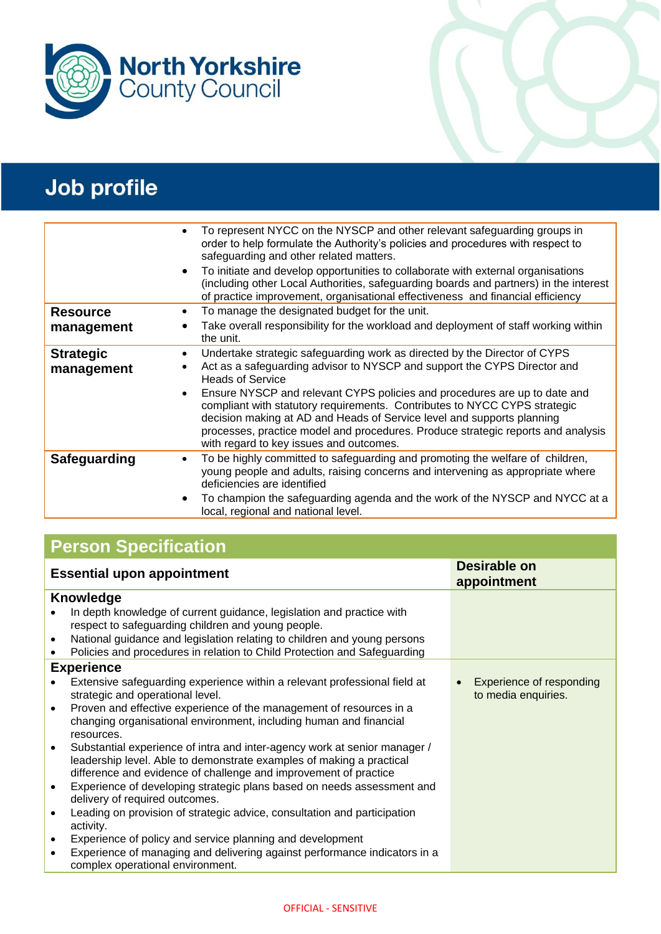



| $\bullet$                                                             | To represent NYCC on the NYSCP and other relevant safeguarding groups in<br>order to help formulate the Authority's policies and procedures with respect to<br>safeguarding and other related matters.<br>To initiate and develop opportunities to collaborate with external organisations<br>(including other Local Authorities, safeguarding boards and partners) in the interest<br>of practice improvement, organisational effectiveness and financial efficiency                                                                               |
|-----------------------------------------------------------------------|-----------------------------------------------------------------------------------------------------------------------------------------------------------------------------------------------------------------------------------------------------------------------------------------------------------------------------------------------------------------------------------------------------------------------------------------------------------------------------------------------------------------------------------------------------|
| <b>Resource</b>                                                       | To manage the designated budget for the unit.                                                                                                                                                                                                                                                                                                                                                                                                                                                                                                       |
| management                                                            | Take overall responsibility for the workload and deployment of staff working within<br>the unit.                                                                                                                                                                                                                                                                                                                                                                                                                                                    |
| <b>Strategic</b><br>$\bullet$<br>$\bullet$<br>management<br>$\bullet$ | Undertake strategic safeguarding work as directed by the Director of CYPS<br>Act as a safeguarding advisor to NYSCP and support the CYPS Director and<br><b>Heads of Service</b><br>Ensure NYSCP and relevant CYPS policies and procedures are up to date and<br>compliant with statutory requirements. Contributes to NYCC CYPS strategic<br>decision making at AD and Heads of Service level and supports planning<br>processes, practice model and procedures. Produce strategic reports and analysis<br>with regard to key issues and outcomes. |
| Safeguarding<br>٠                                                     | To be highly committed to safeguarding and promoting the welfare of children,<br>young people and adults, raising concerns and intervening as appropriate where<br>deficiencies are identified                                                                                                                                                                                                                                                                                                                                                      |
| $\bullet$                                                             | To champion the safeguarding agenda and the work of the NYSCP and NYCC at a<br>local, regional and national level.                                                                                                                                                                                                                                                                                                                                                                                                                                  |

## **Person Specification**

| <b>Essential upon appointment</b>                                                                                                                                                                                                  | Desirable on<br>appointment                     |
|------------------------------------------------------------------------------------------------------------------------------------------------------------------------------------------------------------------------------------|-------------------------------------------------|
| <b>Knowledge</b>                                                                                                                                                                                                                   |                                                 |
| In depth knowledge of current guidance, legislation and practice with<br>respect to safeguarding children and young people.                                                                                                        |                                                 |
| National guidance and legislation relating to children and young persons<br>$\bullet$                                                                                                                                              |                                                 |
| Policies and procedures in relation to Child Protection and Safeguarding                                                                                                                                                           |                                                 |
| <b>Experience</b>                                                                                                                                                                                                                  |                                                 |
| Extensive safeguarding experience within a relevant professional field at<br>strategic and operational level.                                                                                                                      | Experience of responding<br>to media enquiries. |
| Proven and effective experience of the management of resources in a<br>$\bullet$<br>changing organisational environment, including human and financial<br>resources.                                                               |                                                 |
| Substantial experience of intra and inter-agency work at senior manager /<br>$\bullet$<br>leadership level. Able to demonstrate examples of making a practical<br>difference and evidence of challenge and improvement of practice |                                                 |
| Experience of developing strategic plans based on needs assessment and<br>$\bullet$<br>delivery of required outcomes.                                                                                                              |                                                 |
| Leading on provision of strategic advice, consultation and participation<br>activity.                                                                                                                                              |                                                 |
| Experience of policy and service planning and development<br>$\bullet$                                                                                                                                                             |                                                 |
| Experience of managing and delivering against performance indicators in a<br>$\bullet$<br>complex operational environment.                                                                                                         |                                                 |